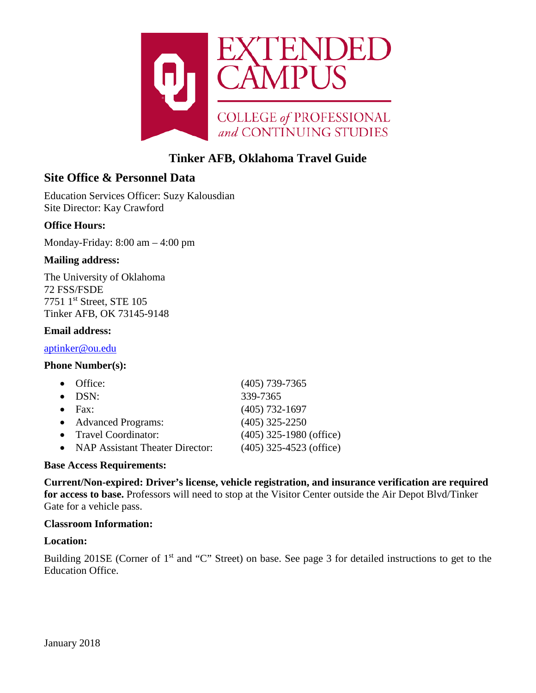

# **Tinker AFB, Oklahoma Travel Guide**

# **Site Office & Personnel Data**

Education Services Officer: Suzy Kalousdian Site Director: Kay Crawford

# **Office Hours:**

Monday-Friday: 8:00 am – 4:00 pm

### **Mailing address:**

The University of Oklahoma 72 FSS/FSDE 7751 1st Street, STE 105 Tinker AFB, OK 73145-9148

#### **Email address:**

[aptinker@ou.edu](mailto:aptinker@ou.edu)

#### **Phone Number(s):**

|           | $\bullet$ Office:                 | $(405)$ 739-7365          |
|-----------|-----------------------------------|---------------------------|
|           | $\bullet$ DSN:                    | 339-7365                  |
| $\bullet$ | Fax:                              | $(405)$ 732-1697          |
|           | • Advanced Programs:              | $(405)$ 325-2250          |
|           | • Travel Coordinator:             | $(405)$ 325-1980 (office) |
|           | • NAP Assistant Theater Director: | $(405)$ 325-4523 (office) |

#### **Base Access Requirements:**

**Current/Non-expired: Driver's license, vehicle registration, and insurance verification are required for access to base.** Professors will need to stop at the Visitor Center outside the Air Depot Blvd/Tinker Gate for a vehicle pass.

### **Classroom Information:**

#### **Location:**

Building 201SE (Corner of 1<sup>st</sup> and "C" Street) on base. See page 3 for detailed instructions to get to the Education Office.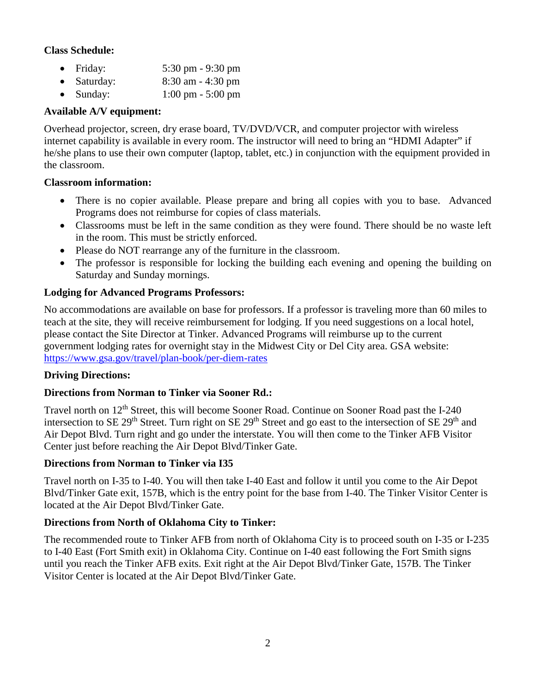## **Class Schedule:**

- Friday: 5:30 pm 9:30 pm
- Saturday: 8:30 am 4:30 pm
- Sunday: 1:00 pm 5:00 pm

# **Available A/V equipment:**

Overhead projector, screen, dry erase board, TV/DVD/VCR, and computer projector with wireless internet capability is available in every room. The instructor will need to bring an "HDMI Adapter" if he/she plans to use their own computer (laptop, tablet, etc.) in conjunction with the equipment provided in the classroom.

# **Classroom information:**

- There is no copier available. Please prepare and bring all copies with you to base. Advanced Programs does not reimburse for copies of class materials.
- Classrooms must be left in the same condition as they were found. There should be no waste left in the room. This must be strictly enforced.
- Please do NOT rearrange any of the furniture in the classroom.
- The professor is responsible for locking the building each evening and opening the building on Saturday and Sunday mornings.

# **Lodging for Advanced Programs Professors:**

No accommodations are available on base for professors. If a professor is traveling more than 60 miles to teach at the site, they will receive reimbursement for lodging. If you need suggestions on a local hotel, please contact the Site Director at Tinker. Advanced Programs will reimburse up to the current government lodging rates for overnight stay in the Midwest City or Del City area. GSA website: <https://www.gsa.gov/travel/plan-book/per-diem-rates>

### **Driving Directions:**

# **Directions from Norman to Tinker via Sooner Rd.:**

Travel north on 12<sup>th</sup> Street, this will become Sooner Road. Continue on Sooner Road past the I-240 intersection to SE 29<sup>th</sup> Street. Turn right on SE 29<sup>th</sup> Street and go east to the intersection of SE 29<sup>th</sup> and Air Depot Blvd. Turn right and go under the interstate. You will then come to the Tinker AFB Visitor Center just before reaching the Air Depot Blvd/Tinker Gate.

### **Directions from Norman to Tinker via I35**

Travel north on I-35 to I-40. You will then take I-40 East and follow it until you come to the Air Depot Blvd/Tinker Gate exit, 157B, which is the entry point for the base from I-40. The Tinker Visitor Center is located at the Air Depot Blvd/Tinker Gate.

# **Directions from North of Oklahoma City to Tinker:**

The recommended route to Tinker AFB from north of Oklahoma City is to proceed south on I-35 or I-235 to I-40 East (Fort Smith exit) in Oklahoma City. Continue on I-40 east following the Fort Smith signs until you reach the Tinker AFB exits. Exit right at the Air Depot Blvd/Tinker Gate, 157B. The Tinker Visitor Center is located at the Air Depot Blvd/Tinker Gate.